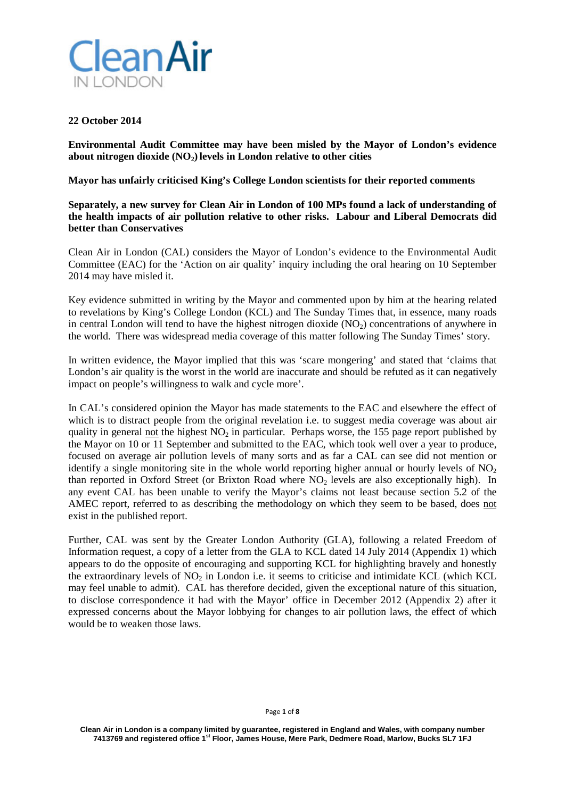

## **22 October 2014**

**Environmental Audit Committee may have been misled by the Mayor of London's evidence about nitrogen dioxide (NO2)levels in London relative to other cities**

**Mayor has unfairly criticised King's College London scientists for their reported comments**

**Separately, a new survey for Clean Air in London of 100 MPs found a lack of understanding of the health impacts of air pollution relative to other risks. Labour and Liberal Democrats did better than Conservatives**

Clean Air in London (CAL) considers the Mayor of London's evidence to the Environmental Audit Committee (EAC) for the 'Action on air quality' inquiry including the oral hearing on 10 September 2014 may have misled it.

Key evidence submitted in writing by the Mayor and commented upon by him at the hearing related to revelations by King's College London (KCL) and The Sunday Times that, in essence, many roads in central London will tend to have the highest nitrogen dioxide  $(NO<sub>2</sub>)$  concentrations of anywhere in the world. There was widespread media coverage of this matter following The Sunday Times' story.

In written evidence, the Mayor implied that this was 'scare mongering' and stated that 'claims that London's air quality is the worst in the world are inaccurate and should be refuted as it can negatively impact on people's willingness to walk and cycle more'.

In CAL's considered opinion the Mayor has made statements to the EAC and elsewhere the effect of which is to distract people from the original revelation i.e. to suggest media coverage was about air quality in general not the highest  $NO<sub>2</sub>$  in particular. Perhaps worse, the 155 page report published by the Mayor on 10 or 11 September and submitted to the EAC, which took well over a year to produce, focused on average air pollution levels of many sorts and as far a CAL can see did not mention or identify a single monitoring site in the whole world reporting higher annual or hourly levels of  $NO<sub>2</sub>$ than reported in Oxford Street (or Brixton Road where NO<sub>2</sub> levels are also exceptionally high). In any event CAL has been unable to verify the Mayor's claims not least because section 5.2 of the AMEC report, referred to as describing the methodology on which they seem to be based, does not exist in the published report.

Further, CAL was sent by the Greater London Authority (GLA), following a related Freedom of Information request, a copy of a letter from the GLA to KCL dated 14 July 2014 (Appendix 1) which appears to do the opposite of encouraging and supporting KCL for highlighting bravely and honestly the extraordinary levels of  $NO<sub>2</sub>$  in London i.e. it seems to criticise and intimidate KCL (which KCL) may feel unable to admit). CAL has therefore decided, given the exceptional nature of this situation, to disclose correspondence it had with the Mayor' office in December 2012 (Appendix 2) after it expressed concerns about the Mayor lobbying for changes to air pollution laws, the effect of which would be to weaken those laws.

#### Page **1** of **8**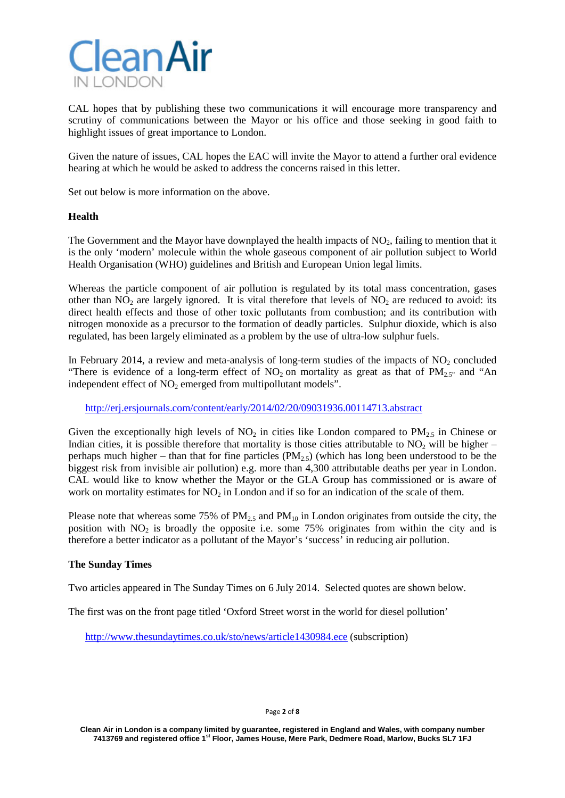

CAL hopes that by publishing these two communications it will encourage more transparency and scrutiny of communications between the Mayor or his office and those seeking in good faith to highlight issues of great importance to London.

Given the nature of issues, CAL hopes the EAC will invite the Mayor to attend a further oral evidence hearing at which he would be asked to address the concerns raised in this letter.

Set out below is more information on the above.

# **Health**

The Government and the Mayor have downplayed the health impacts of  $NO<sub>2</sub>$ , failing to mention that it is the only 'modern' molecule within the whole gaseous component of air pollution subject to World Health Organisation (WHO) guidelines and British and European Union legal limits.

Whereas the particle component of air pollution is regulated by its total mass concentration, gases other than  $NO<sub>2</sub>$  are largely ignored. It is vital therefore that levels of  $NO<sub>2</sub>$  are reduced to avoid: its direct health effects and those of other toxic pollutants from combustion; and its contribution with nitrogen monoxide as a precursor to the formation of deadly particles. Sulphur dioxide, which is also regulated, has been largely eliminated as a problem by the use of ultra-low sulphur fuels.

In February 2014, a review and meta-analysis of long-term studies of the impacts of  $NO<sub>2</sub>$  concluded "There is evidence of a long-term effect of  $NO_2$  on mortality as great as that of  $PM_{2.5}$ " and "An independent effect of  $NO<sub>2</sub>$  emerged from multipollutant models".

<http://erj.ersjournals.com/content/early/2014/02/20/09031936.00114713.abstract>

Given the exceptionally high levels of  $NO<sub>2</sub>$  in cities like London compared to  $PM<sub>2.5</sub>$  in Chinese or Indian cities, it is possible therefore that mortality is those cities attributable to  $NO<sub>2</sub>$  will be higher – perhaps much higher – than that for fine particles  $(PM_{2.5})$  (which has long been understood to be the biggest risk from invisible air pollution) e.g. more than 4,300 attributable deaths per year in London. CAL would like to know whether the Mayor or the GLA Group has commissioned or is aware of work on mortality estimates for  $NO<sub>2</sub>$  in London and if so for an indication of the scale of them.

Please note that whereas some 75% of  $PM_{2.5}$  and  $PM_{10}$  in London originates from outside the city, the position with  $NO<sub>2</sub>$  is broadly the opposite i.e. some 75% originates from within the city and is therefore a better indicator as a pollutant of the Mayor's 'success' in reducing air pollution.

### **The Sunday Times**

Two articles appeared in The Sunday Times on 6 July 2014. Selected quotes are shown below.

The first was on the front page titled 'Oxford Street worst in the world for diesel pollution'

<http://www.thesundaytimes.co.uk/sto/news/article1430984.ece> (subscription)

Page **2** of **8**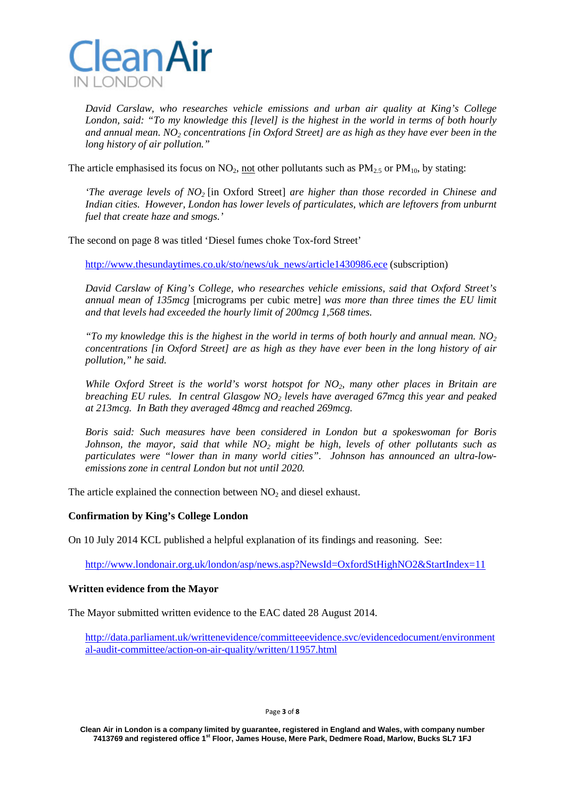

*David Carslaw, who researches vehicle emissions and urban air quality at King's College London, said: "To my knowledge this [level] is the highest in the world in terms of both hourly*  and annual mean. NO<sub>2</sub> concentrations [in Oxford Street] are as high as they have ever been in the *long history of air pollution."*

The article emphasised its focus on  $NO<sub>2</sub>$ , not other pollutants such as  $PM<sub>2.5</sub>$  or  $PM<sub>10</sub>$ , by stating:

*'The average levels of NO2* [in Oxford Street] *are higher than those recorded in Chinese and Indian cities. However, London has lower levels of particulates, which are leftovers from unburnt fuel that create haze and smogs.'*

The second on page 8 was titled 'Diesel fumes choke Tox-ford Street'

[http://www.thesundaytimes.co.uk/sto/news/uk\\_news/article1430986.ece](http://www.thesundaytimes.co.uk/sto/news/uk_news/article1430986.ece) (subscription)

*David Carslaw of King's College, who researches vehicle emissions, said that Oxford Street's annual mean of 135mcg* [micrograms per cubic metre] *was more than three times the EU limit and that levels had exceeded the hourly limit of 200mcg 1,568 times.*

*"To my knowledge this is the highest in the world in terms of both hourly and annual mean. NO2 concentrations [in Oxford Street] are as high as they have ever been in the long history of air pollution," he said.*

*While Oxford Street is the world's worst hotspot for NO<sub>2</sub>, many other places in Britain are breaching EU rules. In central Glasgow NO2 levels have averaged 67mcg this year and peaked at 213mcg. In Bath they averaged 48mcg and reached 269mcg.*

*Boris said: Such measures have been considered in London but a spokeswoman for Boris Johnson, the mayor, said that while NO2 might be high, levels of other pollutants such as particulates were "lower than in many world cities". Johnson has announced an ultra-lowemissions zone in central London but not until 2020.*

The article explained the connection between  $NO<sub>2</sub>$  and diesel exhaust.

# **Confirmation by King's College London**

On 10 July 2014 KCL published a helpful explanation of its findings and reasoning. See:

<http://www.londonair.org.uk/london/asp/news.asp?NewsId=OxfordStHighNO2&StartIndex=11>

### **Written evidence from the Mayor**

The Mayor submitted written evidence to the EAC dated 28 August 2014.

[http://data.parliament.uk/writtenevidence/committeeevidence.svc/evidencedocument/environment](http://data.parliament.uk/writtenevidence/committeeevidence.svc/evidencedocument/environmental-audit-committee/action-on-air-quality/written/11957.html) [al-audit-committee/action-on-air-quality/written/11957.html](http://data.parliament.uk/writtenevidence/committeeevidence.svc/evidencedocument/environmental-audit-committee/action-on-air-quality/written/11957.html)

Page **3** of **8**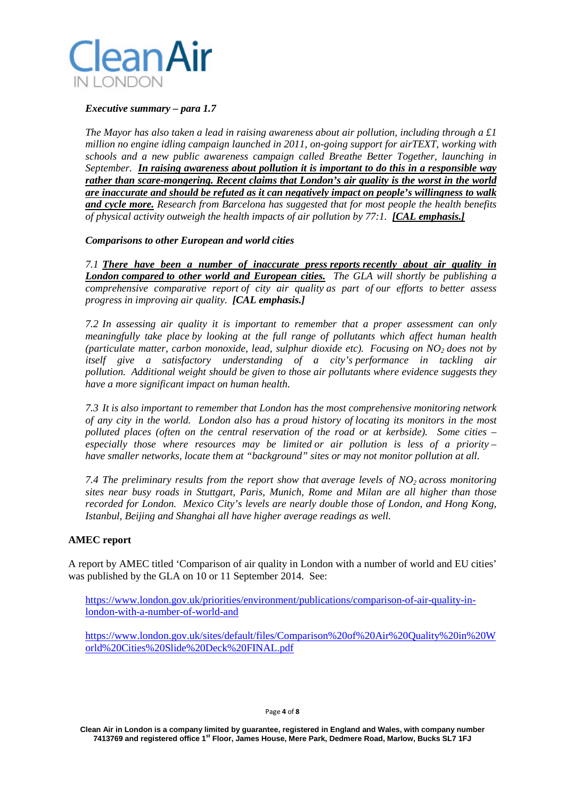

## *Executive summary – para 1.7*

*The Mayor has also taken a lead in raising awareness about air pollution, including through a £1 million no engine idling campaign launched in 2011, on-going support for airTEXT, working with schools and a new public awareness campaign called Breathe Better Together, launching in September. In raising awareness about pollution it is important to do this in a responsible way rather than scare-mongering. Recent claims that London's air quality is the worst in the world are inaccurate and should be refuted as it can negatively impact on people's willingness to walk and cycle more. Research from Barcelona has suggested that for most people the health benefits of physical activity outweigh the health impacts of air pollution by 77:1. [CAL emphasis.]*

*Comparisons to other European and world cities*

*7.1 There have been a number of inaccurate press reports recently about air quality in London compared to other world and European cities. The GLA will shortly be publishing a comprehensive comparative report of city air quality as part of our efforts to better assess progress in improving air quality. [CAL emphasis.]*

*7.2 In assessing air quality it is important to remember that a proper assessment can only meaningfully take place by looking at the full range of pollutants which affect human health (particulate matter, carbon monoxide, lead, sulphur dioxide etc). Focusing on*  $NO<sub>2</sub>$  *does not by itself give a satisfactory understanding of a city's performance in tackling air pollution. Additional weight should be given to those air pollutants where evidence suggests they have a more significant impact on human health.*

*7.3 It is also important to remember that London has the most comprehensive monitoring network of any city in the world. London also has a proud history of locating its monitors in the most polluted places (often on the central reservation of the road or at kerbside). Some cities – especially those where resources may be limited or air pollution is less of a priority – have smaller networks, locate them at "background" sites or may not monitor pollution at all.*

*7.4 The preliminary results from the report show that average levels of NO<sub>2</sub> <i>across monitoring sites near busy roads in Stuttgart, Paris, Munich, Rome and Milan are all higher than those recorded for London. Mexico City's levels are nearly double those of London, and Hong Kong, Istanbul, Beijing and Shanghai all have higher average readings as well.*

# **AMEC report**

A report by AMEC titled 'Comparison of air quality in London with a number of world and EU cities' was published by the GLA on 10 or 11 September 2014. See:

[https://www.london.gov.uk/priorities/environment/publications/comparison-of-air-quality-in](https://www.london.gov.uk/priorities/environment/publications/comparison-of-air-quality-in-london-with-a-number-of-world-and)[london-with-a-number-of-world-and](https://www.london.gov.uk/priorities/environment/publications/comparison-of-air-quality-in-london-with-a-number-of-world-and)

[https://www.london.gov.uk/sites/default/files/Comparison%20of%20Air%20Quality%20in%20W](https://www.london.gov.uk/sites/default/files/Comparison%20of%20Air%20Quality%20in%20World%20Cities%20Slide%20Deck%20FINAL.pdf) [orld%20Cities%20Slide%20Deck%20FINAL.pdf](https://www.london.gov.uk/sites/default/files/Comparison%20of%20Air%20Quality%20in%20World%20Cities%20Slide%20Deck%20FINAL.pdf)

#### Page **4** of **8**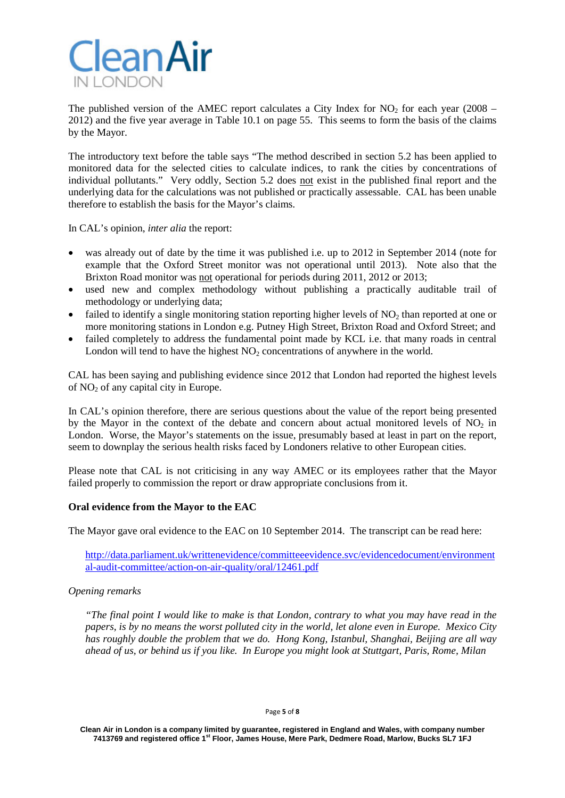

The published version of the AMEC report calculates a City Index for  $NO<sub>2</sub>$  for each year (2008 – 2012) and the five year average in Table 10.1 on page 55. This seems to form the basis of the claims by the Mayor.

The introductory text before the table says "The method described in section 5.2 has been applied to monitored data for the selected cities to calculate indices, to rank the cities by concentrations of individual pollutants." Very oddly, Section 5.2 does not exist in the published final report and the underlying data for the calculations was not published or practically assessable. CAL has been unable therefore to establish the basis for the Mayor's claims.

In CAL's opinion, *inter alia* the report:

- was already out of date by the time it was published i.e. up to 2012 in September 2014 (note for example that the Oxford Street monitor was not operational until 2013). Note also that the Brixton Road monitor was not operational for periods during 2011, 2012 or 2013;
- used new and complex methodology without publishing a practically auditable trail of methodology or underlying data;
- failed to identify a single monitoring station reporting higher levels of  $NO<sub>2</sub>$  than reported at one or more monitoring stations in London e.g. Putney High Street, Brixton Road and Oxford Street; and
- failed completely to address the fundamental point made by KCL i.e. that many roads in central London will tend to have the highest  $NO<sub>2</sub>$  concentrations of anywhere in the world.

CAL has been saying and publishing evidence since 2012 that London had reported the highest levels of  $NO<sub>2</sub>$  of any capital city in Europe.

In CAL's opinion therefore, there are serious questions about the value of the report being presented by the Mayor in the context of the debate and concern about actual monitored levels of  $NO<sub>2</sub>$  in London. Worse, the Mayor's statements on the issue, presumably based at least in part on the report, seem to downplay the serious health risks faced by Londoners relative to other European cities.

Please note that CAL is not criticising in any way AMEC or its employees rather that the Mayor failed properly to commission the report or draw appropriate conclusions from it.

# **Oral evidence from the Mayor to the EAC**

The Mayor gave oral evidence to the EAC on 10 September 2014. The transcript can be read here:

[http://data.parliament.uk/writtenevidence/committeeevidence.svc/evidencedocument/environment](http://data.parliament.uk/writtenevidence/committeeevidence.svc/evidencedocument/environmental-audit-committee/action-on-air-quality/oral/12461.pdf) [al-audit-committee/action-on-air-quality/oral/12461.pdf](http://data.parliament.uk/writtenevidence/committeeevidence.svc/evidencedocument/environmental-audit-committee/action-on-air-quality/oral/12461.pdf)

### *Opening remarks*

*"The final point I would like to make is that London, contrary to what you may have read in the papers, is by no means the worst polluted city in the world, let alone even in Europe. Mexico City has roughly double the problem that we do. Hong Kong, Istanbul, Shanghai, Beijing are all way ahead of us, or behind us if you like. In Europe you might look at Stuttgart, Paris, Rome, Milan*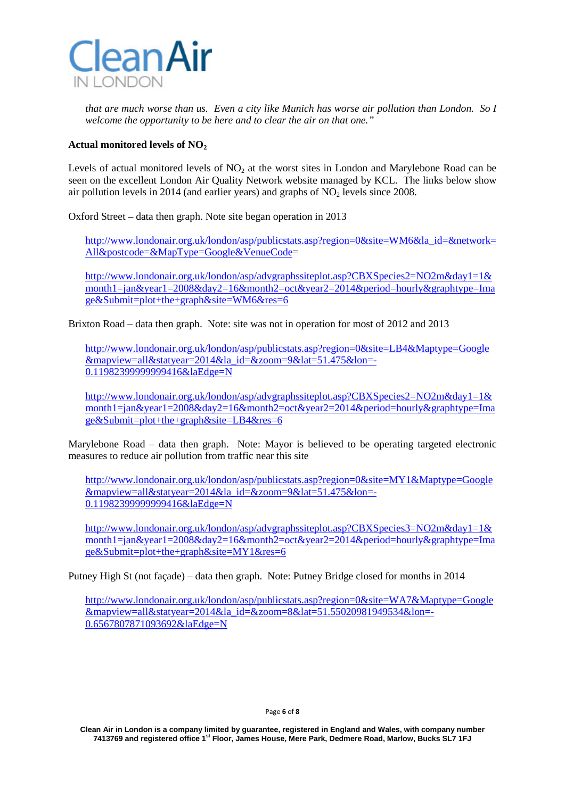

*that are much worse than us. Even a city like Munich has worse air pollution than London. So I welcome the opportunity to be here and to clear the air on that one."*

# Actual monitored levels of NO<sub>2</sub>

Levels of actual monitored levels of  $NO<sub>2</sub>$  at the worst sites in London and Marylebone Road can be seen on the excellent London Air Quality Network website managed by KCL. The links below show air pollution levels in 2014 (and earlier years) and graphs of  $NO<sub>2</sub>$  levels since 2008.

Oxford Street – data then graph. Note site began operation in 2013

[http://www.londonair.org.uk/london/asp/publicstats.asp?region=0&site=WM6&la\\_id=&network=](http://www.londonair.org.uk/london/asp/publicstats.asp?region=0&site=WM6&la_id=&network=All&postcode=&MapType=Google&VenueCode) [All&postcode=&MapType=Google&VenueCode=](http://www.londonair.org.uk/london/asp/publicstats.asp?region=0&site=WM6&la_id=&network=All&postcode=&MapType=Google&VenueCode)

[http://www.londonair.org.uk/london/asp/advgraphssiteplot.asp?CBXSpecies2=NO2m&day1=1&](http://www.londonair.org.uk/london/asp/advgraphssiteplot.asp?CBXSpecies2=NO2m&day1=1&month1=jan&year1=2008&day2=16&month2=oct&year2=2014&period=hourly&graphtype=Image&Submit=plot+the+graph&site=WM6&res=6) [month1=jan&year1=2008&day2=16&month2=oct&year2=2014&period=hourly&graphtype=Ima](http://www.londonair.org.uk/london/asp/advgraphssiteplot.asp?CBXSpecies2=NO2m&day1=1&month1=jan&year1=2008&day2=16&month2=oct&year2=2014&period=hourly&graphtype=Image&Submit=plot+the+graph&site=WM6&res=6) [ge&Submit=plot+the+graph&site=WM6&res=6](http://www.londonair.org.uk/london/asp/advgraphssiteplot.asp?CBXSpecies2=NO2m&day1=1&month1=jan&year1=2008&day2=16&month2=oct&year2=2014&period=hourly&graphtype=Image&Submit=plot+the+graph&site=WM6&res=6)

Brixton Road – data then graph. Note: site was not in operation for most of 2012 and 2013

[http://www.londonair.org.uk/london/asp/publicstats.asp?region=0&site=LB4&Maptype=Google](http://www.londonair.org.uk/london/asp/publicstats.asp?region=0&site=LB4&Maptype=Google&mapview=all&statyear=2014&la_id=&zoom=9&lat=51.475&lon=-0.11982399999999416&laEdge=N) [&mapview=all&statyear=2014&la\\_id=&zoom=9&lat=51.475&lon=-](http://www.londonair.org.uk/london/asp/publicstats.asp?region=0&site=LB4&Maptype=Google&mapview=all&statyear=2014&la_id=&zoom=9&lat=51.475&lon=-0.11982399999999416&laEdge=N) [0.11982399999999416&laEdge=N](http://www.londonair.org.uk/london/asp/publicstats.asp?region=0&site=LB4&Maptype=Google&mapview=all&statyear=2014&la_id=&zoom=9&lat=51.475&lon=-0.11982399999999416&laEdge=N)

[http://www.londonair.org.uk/london/asp/advgraphssiteplot.asp?CBXSpecies2=NO2m&day1=1&](http://www.londonair.org.uk/london/asp/advgraphssiteplot.asp?CBXSpecies2=NO2m&day1=1&month1=jan&year1=2008&day2=16&month2=oct&year2=2014&period=hourly&graphtype=Image&Submit=plot+the+graph&site=LB4&res=6) [month1=jan&year1=2008&day2=16&month2=oct&year2=2014&period=hourly&graphtype=Ima](http://www.londonair.org.uk/london/asp/advgraphssiteplot.asp?CBXSpecies2=NO2m&day1=1&month1=jan&year1=2008&day2=16&month2=oct&year2=2014&period=hourly&graphtype=Image&Submit=plot+the+graph&site=LB4&res=6) [ge&Submit=plot+the+graph&site=LB4&res=6](http://www.londonair.org.uk/london/asp/advgraphssiteplot.asp?CBXSpecies2=NO2m&day1=1&month1=jan&year1=2008&day2=16&month2=oct&year2=2014&period=hourly&graphtype=Image&Submit=plot+the+graph&site=LB4&res=6)

Marylebone Road – data then graph. Note: Mayor is believed to be operating targeted electronic measures to reduce air pollution from traffic near this site

[http://www.londonair.org.uk/london/asp/publicstats.asp?region=0&site=MY1&Maptype=Google](http://www.londonair.org.uk/london/asp/publicstats.asp?region=0&site=MY1&Maptype=Google&mapview=all&statyear=2014&la_id=&zoom=9&lat=51.475&lon=-0.11982399999999416&laEdge=N) [&mapview=all&statyear=2014&la\\_id=&zoom=9&lat=51.475&lon=-](http://www.londonair.org.uk/london/asp/publicstats.asp?region=0&site=MY1&Maptype=Google&mapview=all&statyear=2014&la_id=&zoom=9&lat=51.475&lon=-0.11982399999999416&laEdge=N) [0.11982399999999416&laEdge=N](http://www.londonair.org.uk/london/asp/publicstats.asp?region=0&site=MY1&Maptype=Google&mapview=all&statyear=2014&la_id=&zoom=9&lat=51.475&lon=-0.11982399999999416&laEdge=N)

[http://www.londonair.org.uk/london/asp/advgraphssiteplot.asp?CBXSpecies3=NO2m&day1=1&](http://www.londonair.org.uk/london/asp/advgraphssiteplot.asp?CBXSpecies3=NO2m&day1=1&month1=jan&year1=2008&day2=16&month2=oct&year2=2014&period=hourly&graphtype=Image&Submit=plot+the+graph&site=MY1&res=6) [month1=jan&year1=2008&day2=16&month2=oct&year2=2014&period=hourly&graphtype=Ima](http://www.londonair.org.uk/london/asp/advgraphssiteplot.asp?CBXSpecies3=NO2m&day1=1&month1=jan&year1=2008&day2=16&month2=oct&year2=2014&period=hourly&graphtype=Image&Submit=plot+the+graph&site=MY1&res=6) [ge&Submit=plot+the+graph&site=MY1&res=6](http://www.londonair.org.uk/london/asp/advgraphssiteplot.asp?CBXSpecies3=NO2m&day1=1&month1=jan&year1=2008&day2=16&month2=oct&year2=2014&period=hourly&graphtype=Image&Submit=plot+the+graph&site=MY1&res=6)

Putney High St (not façade) – data then graph. Note: Putney Bridge closed for months in 2014

[http://www.londonair.org.uk/london/asp/publicstats.asp?region=0&site=WA7&Maptype=Google](http://www.londonair.org.uk/london/asp/publicstats.asp?region=0&site=WA7&Maptype=Google&mapview=all&statyear=2014&la_id=&zoom=8&lat=51.55020981949534&lon=-0.6567807871093692&laEdge=N) [&mapview=all&statyear=2014&la\\_id=&zoom=8&lat=51.55020981949534&lon=-](http://www.londonair.org.uk/london/asp/publicstats.asp?region=0&site=WA7&Maptype=Google&mapview=all&statyear=2014&la_id=&zoom=8&lat=51.55020981949534&lon=-0.6567807871093692&laEdge=N) [0.6567807871093692&laEdge=N](http://www.londonair.org.uk/london/asp/publicstats.asp?region=0&site=WA7&Maptype=Google&mapview=all&statyear=2014&la_id=&zoom=8&lat=51.55020981949534&lon=-0.6567807871093692&laEdge=N)

### Page **6** of **8**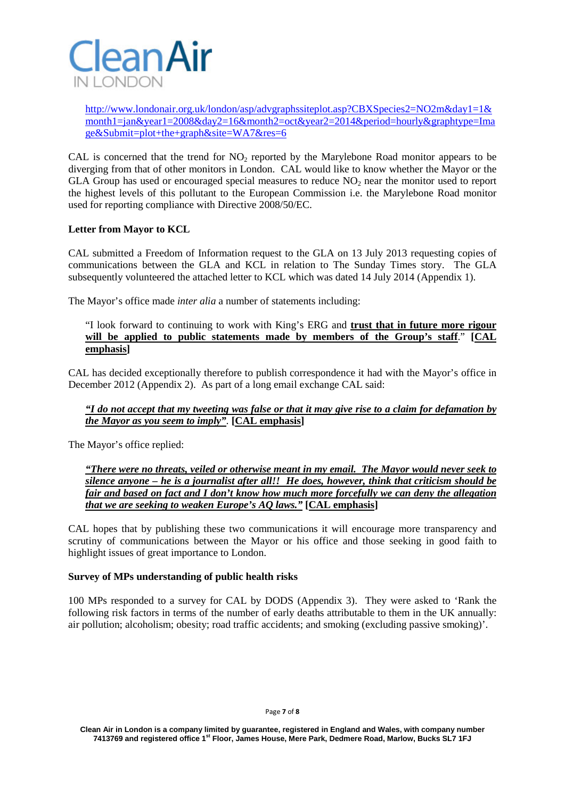

[http://www.londonair.org.uk/london/asp/advgraphssiteplot.asp?CBXSpecies2=NO2m&day1=1&](http://www.londonair.org.uk/london/asp/advgraphssiteplot.asp?CBXSpecies2=NO2m&day1=1&month1=jan&year1=2008&day2=16&month2=oct&year2=2014&period=hourly&graphtype=Image&Submit=plot+the+graph&site=WA7&res=6) [month1=jan&year1=2008&day2=16&month2=oct&year2=2014&period=hourly&graphtype=Ima](http://www.londonair.org.uk/london/asp/advgraphssiteplot.asp?CBXSpecies2=NO2m&day1=1&month1=jan&year1=2008&day2=16&month2=oct&year2=2014&period=hourly&graphtype=Image&Submit=plot+the+graph&site=WA7&res=6) [ge&Submit=plot+the+graph&site=WA7&res=6](http://www.londonair.org.uk/london/asp/advgraphssiteplot.asp?CBXSpecies2=NO2m&day1=1&month1=jan&year1=2008&day2=16&month2=oct&year2=2014&period=hourly&graphtype=Image&Submit=plot+the+graph&site=WA7&res=6)

CAL is concerned that the trend for  $NO<sub>2</sub>$  reported by the Marylebone Road monitor appears to be diverging from that of other monitors in London. CAL would like to know whether the Mayor or the GLA Group has used or encouraged special measures to reduce  $NO<sub>2</sub>$  near the monitor used to report the highest levels of this pollutant to the European Commission i.e. the Marylebone Road monitor used for reporting compliance with Directive 2008/50/EC.

# **Letter from Mayor to KCL**

CAL submitted a Freedom of Information request to the GLA on 13 July 2013 requesting copies of communications between the GLA and KCL in relation to The Sunday Times story. The GLA subsequently volunteered the attached letter to KCL which was dated 14 July 2014 (Appendix 1).

The Mayor's office made *inter alia* a number of statements including:

# "I look forward to continuing to work with King's ERG and **trust that in future more rigour will be applied to public statements made by members of the Group's staff**." **[CAL emphasis]**

CAL has decided exceptionally therefore to publish correspondence it had with the Mayor's office in December 2012 (Appendix 2). As part of a long email exchange CAL said:

# *"I do not accept that my tweeting was false or that it may give rise to a claim for defamation by the Mayor as you seem to imply".* **[CAL emphasis]**

The Mayor's office replied:

# *"There were no threats, veiled or otherwise meant in my email. The Mayor would never seek to silence anyone – he is a journalist after all!! He does, however, think that criticism should be fair and based on fact and I don't know how much more forcefully we can deny the allegation that we are seeking to weaken Europe's AQ laws."* **[CAL emphasis]**

CAL hopes that by publishing these two communications it will encourage more transparency and scrutiny of communications between the Mayor or his office and those seeking in good faith to highlight issues of great importance to London.

# **Survey of MPs understanding of public health risks**

100 MPs responded to a survey for CAL by DODS (Appendix 3). They were asked to 'Rank the following risk factors in terms of the number of early deaths attributable to them in the UK annually: air pollution; alcoholism; obesity; road traffic accidents; and smoking (excluding passive smoking)'.